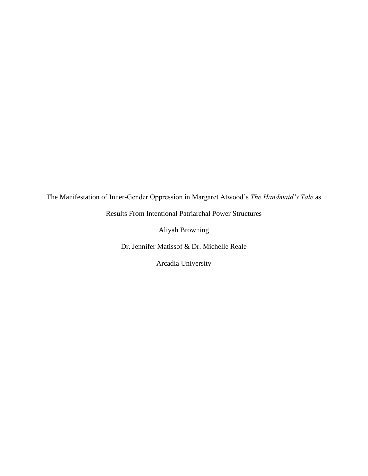The Manifestation of Inner-Gender Oppression in Margaret Atwood's *The Handmaid's Tale* as

Results From Intentional Patriarchal Power Structures

Aliyah Browning

Dr. Jennifer Matissof & Dr. Michelle Reale

Arcadia University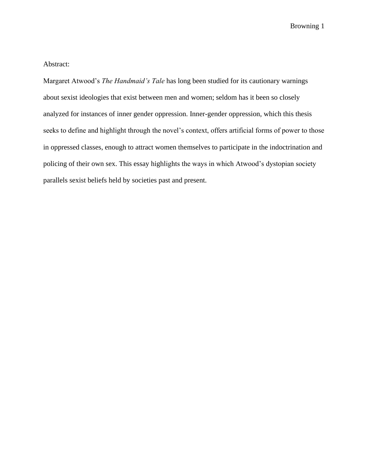## Abstract:

Margaret Atwood's *The Handmaid's Tale* has long been studied for its cautionary warnings about sexist ideologies that exist between men and women; seldom has it been so closely analyzed for instances of inner gender oppression. Inner-gender oppression, which this thesis seeks to define and highlight through the novel's context, offers artificial forms of power to those in oppressed classes, enough to attract women themselves to participate in the indoctrination and policing of their own sex. This essay highlights the ways in which Atwood's dystopian society parallels sexist beliefs held by societies past and present.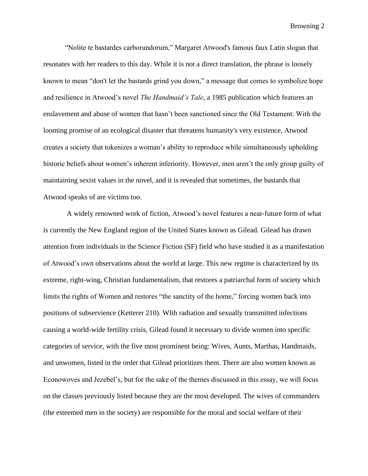"Nolite te bastardes carborundorum," Margaret Atwood's famous faux Latin slogan that resonates with her readers to this day. While it is not a direct translation, the phrase is loosely known to mean "don't let the bastards grind you down," a message that comes to symbolize hope and resilience in Atwood's novel *The Handmaid's Tale*, a 1985 publication which features an enslavement and abuse of women that hasn't been sanctioned since the Old Testament. With the looming promise of an ecological disaster that threatens humanity's very existence, Atwood creates a society that tokenizes a woman's ability to reproduce while simultaneously upholding historic beliefs about women's inherent inferiority. However, men aren't the only group guilty of maintaining sexist values in the novel, and it is revealed that sometimes, the bastards that Atwood speaks of are victims too.

A widely renowned work of fiction, Atwood's novel features a near-future form of what is currently the New England region of the United States known as Gilead. Gilead has drawn attention from individuals in the Science Fiction (SF) field who have studied it as a manifestation of Atwood's own observations about the world at large. This new regime is characterized by its extreme, right-wing, Christian fundamentalism, that restores a patriarchal form of society which limits the rights of Women and restores "the sanctity of the home," forcing women back into positions of subservience (Ketterer 210). WIth radiation and sexually transmitted infections causing a world-wide fertility crisis, Gilead found it necessary to divide women into specific categories of service, with the five most prominent being: Wives, Aunts, Marthas, Handmaids, and unwomen, listed in the order that Gilead prioritizes them. There are also women known as Econowoves and Jezebel's, but for the sake of the themes discussed in this essay, we will focus on the classes previously listed because they are the most developed. The wives of commanders (the esteemed men in the society) are responsible for the moral and social welfare of their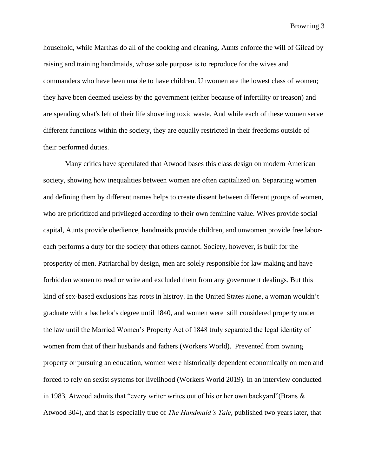household, while Marthas do all of the cooking and cleaning. Aunts enforce the will of Gilead by raising and training handmaids, whose sole purpose is to reproduce for the wives and commanders who have been unable to have children. Unwomen are the lowest class of women; they have been deemed useless by the government (either because of infertility or treason) and are spending what's left of their life shoveling toxic waste. And while each of these women serve different functions within the society, they are equally restricted in their freedoms outside of their performed duties.

Many critics have speculated that Atwood bases this class design on modern American society, showing how inequalities between women are often capitalized on. Separating women and defining them by different names helps to create dissent between different groups of women, who are prioritized and privileged according to their own feminine value. Wives provide social capital, Aunts provide obedience, handmaids provide children, and unwomen provide free laboreach performs a duty for the society that others cannot. Society, however, is built for the prosperity of men. Patriarchal by design, men are solely responsible for law making and have forbidden women to read or write and excluded them from any government dealings. But this kind of sex-based exclusions has roots in histroy. In the United States alone, a woman wouldn't graduate with a bachelor's degree until 1840, and women were still considered property under the law until the Married Women's Property Act of 1848 truly separated the legal identity of women from that of their husbands and fathers (Workers World). Prevented from owning property or pursuing an education, women were historically dependent economically on men and forced to rely on sexist systems for livelihood (Workers World 2019). In an interview conducted in 1983, Atwood admits that "every writer writes out of his or her own backyard"(Brans & Atwood 304), and that is especially true of *The Handmaid's Tale*, published two years later, that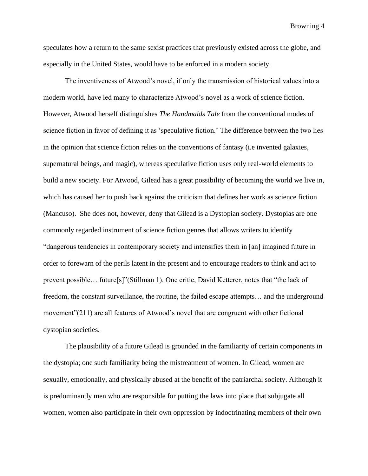speculates how a return to the same sexist practices that previously existed across the globe, and especially in the United States, would have to be enforced in a modern society.

The inventiveness of Atwood's novel, if only the transmission of historical values into a modern world, have led many to characterize Atwood's novel as a work of science fiction. However, Atwood herself distinguishes *The Handmaids Tale* from the conventional modes of science fiction in favor of defining it as 'speculative fiction.' The difference between the two lies in the opinion that science fiction relies on the conventions of fantasy (i.e invented galaxies, supernatural beings, and magic), whereas speculative fiction uses only real-world elements to build a new society. For Atwood, Gilead has a great possibility of becoming the world we live in, which has caused her to push back against the criticism that defines her work as science fiction (Mancuso). She does not, however, deny that Gilead is a Dystopian society. Dystopias are one commonly regarded instrument of science fiction genres that allows writers to identify "dangerous tendencies in contemporary society and intensifies them in [an] imagined future in order to forewarn of the perils latent in the present and to encourage readers to think and act to prevent possible… future[s]"(Stillman 1). One critic, David Ketterer, notes that "the lack of freedom, the constant surveillance, the routine, the failed escape attempts… and the underground movement"(211) are all features of Atwood's novel that are congruent with other fictional dystopian societies.

The plausibility of a future Gilead is grounded in the familiarity of certain components in the dystopia; one such familiarity being the mistreatment of women. In Gilead, women are sexually, emotionally, and physically abused at the benefit of the patriarchal society. Although it is predominantly men who are responsible for putting the laws into place that subjugate all women, women also participate in their own oppression by indoctrinating members of their own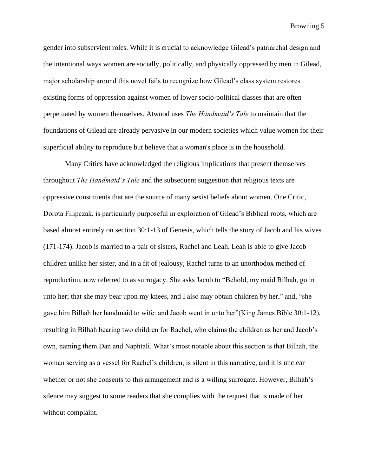gender into subservient roles. While it is crucial to acknowledge Gilead's patriarchal design and the intentional ways women are socially, politically, and physically oppressed by men in Gilead, major scholarship around this novel fails to recognize how Gilead's class system restores existing forms of oppression against women of lower socio-political classes that are often perpetuated by women themselves. Atwood uses *The Handmaid's Tale* to maintain that the foundations of Gilead are already pervasive in our modern societies which value women for their superficial ability to reproduce but believe that a woman's place is in the household.

Many Critics have acknowledged the religious implications that present themselves throughout *The Handmaid's Tale* and the subsequent suggestion that religious texts are oppressive constituents that are the source of many sexist beliefs about women. One Critic, Dorota Filipczak, is particularly purposeful in exploration of Gilead's Biblical roots, which are based almost entirely on section 30:1-13 of Genesis, which tells the story of Jacob and his wives (171-174). Jacob is married to a pair of sisters, Rachel and Leah. Leah is able to give Jacob children unlike her sister, and in a fit of jealousy, Rachel turns to an unorthodox method of reproduction, now referred to as surrogacy. She asks Jacob to "Behold, my maid Bilhah, go in unto her; that she may bear upon my knees, and I also may obtain children by her," and, "she gave him Bilhah her handmaid to wife: and Jacob went in unto her"(King James Bible 30:1-12), resulting in Bilhah bearing two children for Rachel, who claims the children as her and Jacob's own, naming them Dan and Naphtali. What's most notable about this section is that Bilhah, the woman serving as a vessel for Rachel's children, is silent in this narrative, and it is unclear whether or not she consents to this arrangement and is a willing surrogate. However, Bilhah's silence may suggest to some readers that she complies with the request that is made of her without complaint.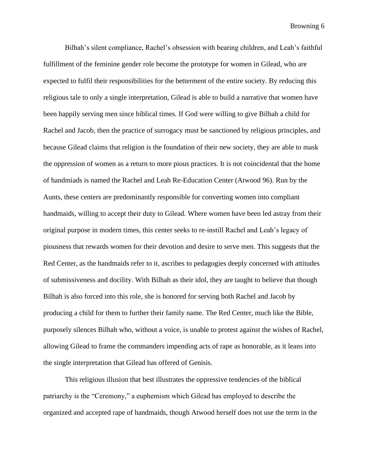Bilhah's silent compliance, Rachel's obsession with bearing children, and Leah's faithful fulfillment of the feminine gender role become the prototype for women in Gilead, who are expected to fulfil their responsibilities for the betterment of the entire society. By reducing this religious tale to only a single interpretation, Gilead is able to build a narrative that women have been happily serving men since biblical times. If God were willing to give Bilhah a child for Rachel and Jacob, then the practice of surrogacy must be sanctioned by religious principles, and because Gilead claims that religion is the foundation of their new society, they are able to mask the oppression of women as a return to more pious practices. It is not coincidental that the home of handmiads is named the Rachel and Leah Re-Education Center (Atwood 96). Run by the Aunts, these centers are predominantly responsible for converting women into compliant handmaids, willing to accept their duty to Gilead. Where women have been led astray from their original purpose in modern times, this center seeks to re-instill Rachel and Leah's legacy of piousness that rewards women for their devotion and desire to serve men. This suggests that the Red Center, as the handmaids refer to it, ascribes to pedagogies deeply concerned with attitudes of submissiveness and docility. With Bilhah as their idol, they are taught to believe that though Bilhah is also forced into this role, she is honored for serving both Rachel and Jacob by producing a child for them to further their family name. The Red Center, much like the Bible, purposely silences Bilhah who, without a voice, is unable to protest against the wishes of Rachel, allowing Gilead to frame the commanders impending acts of rape as honorable, as it leans into the single interpretation that Gilead has offered of Genisis.

This religious illusion that best illustrates the oppressive tendencies of the biblical patriarchy is the "Ceremony," a euphemism which Gilead has employed to describe the organized and accepted rape of handmaids, though Atwood herself does not use the term in the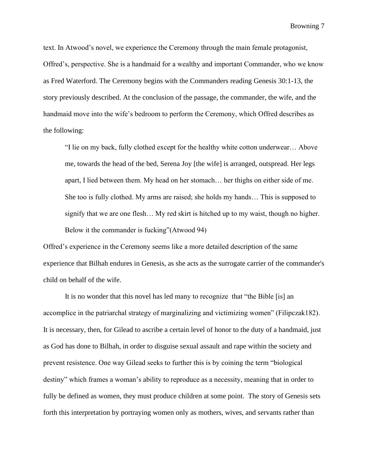text. In Atwood's novel, we experience the Ceremony through the main female protagonist, Offred's, perspective. She is a handmaid for a wealthy and important Commander, who we know as Fred Waterford. The Ceremony begins with the Commanders reading Genesis 30:1-13, the story previously described. At the conclusion of the passage, the commander, the wife, and the handmaid move into the wife's bedroom to perform the Ceremony, which Offred describes as the following:

"I lie on my back, fully clothed except for the healthy white cotton underwear… Above me, towards the head of the bed, Serena Joy [the wife] is arranged, outspread. Her legs apart, I lied between them. My head on her stomach… her thighs on either side of me. She too is fully clothed. My arms are raised; she holds my hands… This is supposed to signify that we are one flesh… My red skirt is hitched up to my waist, though no higher. Below it the commander is fucking"(Atwood 94)

Offred's experience in the Ceremony seems like a more detailed description of the same experience that Bilhah endures in Genesis, as she acts as the surrogate carrier of the commander's child on behalf of the wife.

It is no wonder that this novel has led many to recognize that "the Bible [is] an accomplice in the patriarchal strategy of marginalizing and victimizing women" (Filipczak182). It is necessary, then, for Gilead to ascribe a certain level of honor to the duty of a handmaid, just as God has done to Bilhah, in order to disguise sexual assault and rape within the society and prevent resistence. One way Gilead seeks to further this is by coining the term "biological destiny" which frames a woman's ability to reproduce as a necessity, meaning that in order to fully be defined as women, they must produce children at some point. The story of Genesis sets forth this interpretation by portraying women only as mothers, wives, and servants rather than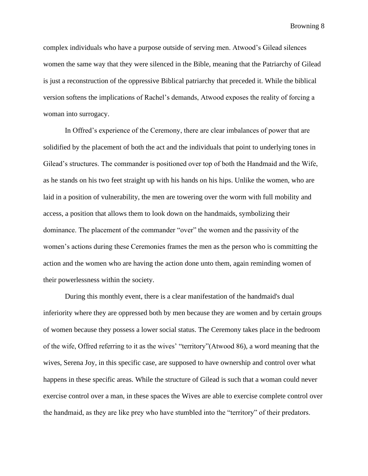complex individuals who have a purpose outside of serving men. Atwood's Gilead silences women the same way that they were silenced in the Bible, meaning that the Patriarchy of Gilead is just a reconstruction of the oppressive Biblical patriarchy that preceded it. While the biblical version softens the implications of Rachel's demands, Atwood exposes the reality of forcing a woman into surrogacy.

In Offred's experience of the Ceremony, there are clear imbalances of power that are solidified by the placement of both the act and the individuals that point to underlying tones in Gilead's structures. The commander is positioned over top of both the Handmaid and the Wife, as he stands on his two feet straight up with his hands on his hips. Unlike the women, who are laid in a position of vulnerability, the men are towering over the worm with full mobility and access, a position that allows them to look down on the handmaids, symbolizing their dominance. The placement of the commander "over" the women and the passivity of the women's actions during these Ceremonies frames the men as the person who is committing the action and the women who are having the action done unto them, again reminding women of their powerlessness within the society.

During this monthly event, there is a clear manifestation of the handmaid's dual inferiority where they are oppressed both by men because they are women and by certain groups of women because they possess a lower social status. The Ceremony takes place in the bedroom of the wife, Offred referring to it as the wives' "territory"(Atwood 86), a word meaning that the wives, Serena Joy, in this specific case, are supposed to have ownership and control over what happens in these specific areas. While the structure of Gilead is such that a woman could never exercise control over a man, in these spaces the Wives are able to exercise complete control over the handmaid, as they are like prey who have stumbled into the "territory" of their predators.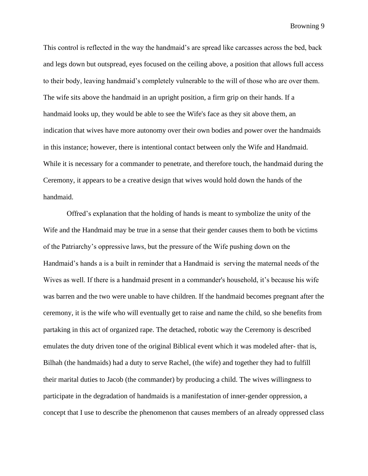This control is reflected in the way the handmaid's are spread like carcasses across the bed, back and legs down but outspread, eyes focused on the ceiling above, a position that allows full access to their body, leaving handmaid's completely vulnerable to the will of those who are over them. The wife sits above the handmaid in an upright position, a firm grip on their hands. If a handmaid looks up, they would be able to see the Wife's face as they sit above them, an indication that wives have more autonomy over their own bodies and power over the handmaids in this instance; however, there is intentional contact between only the Wife and Handmaid. While it is necessary for a commander to penetrate, and therefore touch, the handmaid during the Ceremony, it appears to be a creative design that wives would hold down the hands of the handmaid.

Offred's explanation that the holding of hands is meant to symbolize the unity of the Wife and the Handmaid may be true in a sense that their gender causes them to both be victims of the Patriarchy's oppressive laws, but the pressure of the Wife pushing down on the Handmaid's hands a is a built in reminder that a Handmaid is serving the maternal needs of the Wives as well. If there is a handmaid present in a commander's household, it's because his wife was barren and the two were unable to have children. If the handmaid becomes pregnant after the ceremony, it is the wife who will eventually get to raise and name the child, so she benefits from partaking in this act of organized rape. The detached, robotic way the Ceremony is described emulates the duty driven tone of the original Biblical event which it was modeled after- that is, Bilhah (the handmaids) had a duty to serve Rachel, (the wife) and together they had to fulfill their marital duties to Jacob (the commander) by producing a child. The wives willingness to participate in the degradation of handmaids is a manifestation of inner-gender oppression, a concept that I use to describe the phenomenon that causes members of an already oppressed class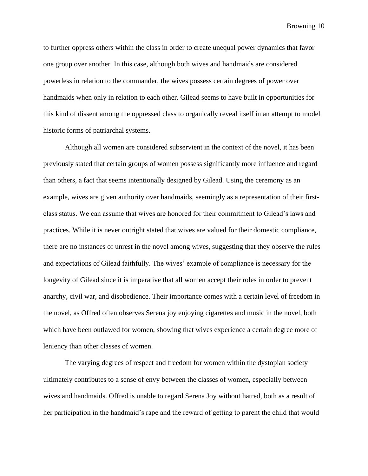to further oppress others within the class in order to create unequal power dynamics that favor one group over another. In this case, although both wives and handmaids are considered powerless in relation to the commander, the wives possess certain degrees of power over handmaids when only in relation to each other. Gilead seems to have built in opportunities for this kind of dissent among the oppressed class to organically reveal itself in an attempt to model historic forms of patriarchal systems.

Although all women are considered subservient in the context of the novel, it has been previously stated that certain groups of women possess significantly more influence and regard than others, a fact that seems intentionally designed by Gilead. Using the ceremony as an example, wives are given authority over handmaids, seemingly as a representation of their firstclass status. We can assume that wives are honored for their commitment to Gilead's laws and practices. While it is never outright stated that wives are valued for their domestic compliance, there are no instances of unrest in the novel among wives, suggesting that they observe the rules and expectations of Gilead faithfully. The wives' example of compliance is necessary for the longevity of Gilead since it is imperative that all women accept their roles in order to prevent anarchy, civil war, and disobedience. Their importance comes with a certain level of freedom in the novel, as Offred often observes Serena joy enjoying cigarettes and music in the novel, both which have been outlawed for women, showing that wives experience a certain degree more of leniency than other classes of women.

The varying degrees of respect and freedom for women within the dystopian society ultimately contributes to a sense of envy between the classes of women, especially between wives and handmaids. Offred is unable to regard Serena Joy without hatred, both as a result of her participation in the handmaid's rape and the reward of getting to parent the child that would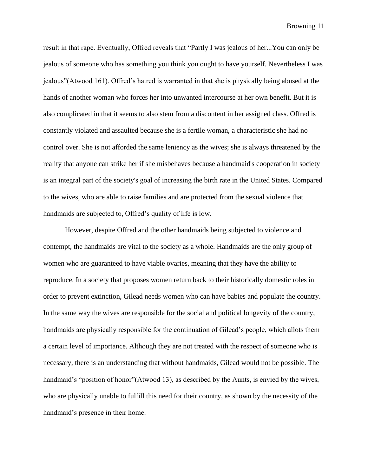result in that rape. Eventually, Offred reveals that "Partly I was jealous of her...You can only be jealous of someone who has something you think you ought to have yourself. Nevertheless I was jealous"(Atwood 161). Offred's hatred is warranted in that she is physically being abused at the hands of another woman who forces her into unwanted intercourse at her own benefit. But it is also complicated in that it seems to also stem from a discontent in her assigned class. Offred is constantly violated and assaulted because she is a fertile woman, a characteristic she had no control over. She is not afforded the same leniency as the wives; she is always threatened by the reality that anyone can strike her if she misbehaves because a handmaid's cooperation in society is an integral part of the society's goal of increasing the birth rate in the United States. Compared to the wives, who are able to raise families and are protected from the sexual violence that handmaids are subjected to, Offred's quality of life is low.

However, despite Offred and the other handmaids being subjected to violence and contempt, the handmaids are vital to the society as a whole. Handmaids are the only group of women who are guaranteed to have viable ovaries, meaning that they have the ability to reproduce. In a society that proposes women return back to their historically domestic roles in order to prevent extinction, Gilead needs women who can have babies and populate the country. In the same way the wives are responsible for the social and political longevity of the country, handmaids are physically responsible for the continuation of Gilead's people, which allots them a certain level of importance. Although they are not treated with the respect of someone who is necessary, there is an understanding that without handmaids, Gilead would not be possible. The handmaid's "position of honor"(Atwood 13), as described by the Aunts, is envied by the wives, who are physically unable to fulfill this need for their country, as shown by the necessity of the handmaid's presence in their home.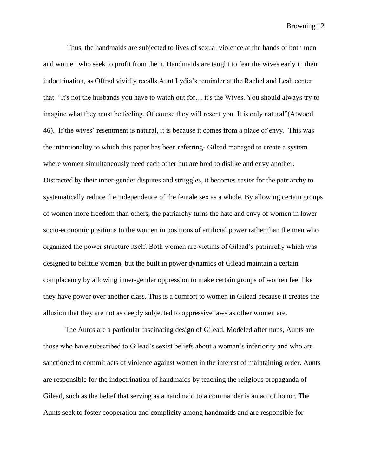Thus, the handmaids are subjected to lives of sexual violence at the hands of both men and women who seek to profit from them. Handmaids are taught to fear the wives early in their indoctrination, as Offred vividly recalls Aunt Lydia's reminder at the Rachel and Leah center that "It's not the husbands you have to watch out for… it's the Wives. You should always try to imagine what they must be feeling. Of course they will resent you. It is only natural"(Atwood 46). If the wives' resentment is natural, it is because it comes from a place of envy. This was the intentionality to which this paper has been referring- Gilead managed to create a system where women simultaneously need each other but are bred to dislike and envy another. Distracted by their inner-gender disputes and struggles, it becomes easier for the patriarchy to systematically reduce the independence of the female sex as a whole. By allowing certain groups of women more freedom than others, the patriarchy turns the hate and envy of women in lower socio-economic positions to the women in positions of artificial power rather than the men who organized the power structure itself. Both women are victims of Gilead's patriarchy which was designed to belittle women, but the built in power dynamics of Gilead maintain a certain complacency by allowing inner-gender oppression to make certain groups of women feel like they have power over another class. This is a comfort to women in Gilead because it creates the allusion that they are not as deeply subjected to oppressive laws as other women are.

The Aunts are a particular fascinating design of Gilead. Modeled after nuns, Aunts are those who have subscribed to Gilead's sexist beliefs about a woman's inferiority and who are sanctioned to commit acts of violence against women in the interest of maintaining order. Aunts are responsible for the indoctrination of handmaids by teaching the religious propaganda of Gilead, such as the belief that serving as a handmaid to a commander is an act of honor. The Aunts seek to foster cooperation and complicity among handmaids and are responsible for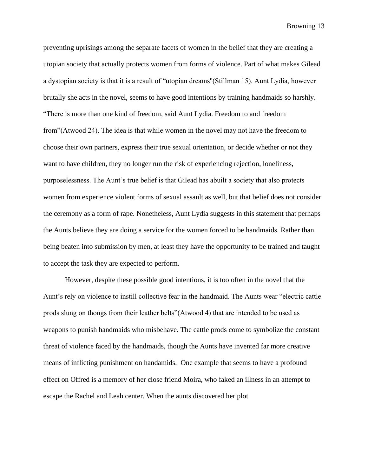preventing uprisings among the separate facets of women in the belief that they are creating a utopian society that actually protects women from forms of violence. Part of what makes Gilead a dystopian society is that it is a result of "utopian dreams''(Stillman 15). Aunt Lydia, however brutally she acts in the novel, seems to have good intentions by training handmaids so harshly. "There is more than one kind of freedom, said Aunt Lydia. Freedom to and freedom from"(Atwood 24). The idea is that while women in the novel may not have the freedom to choose their own partners, express their true sexual orientation, or decide whether or not they want to have children, they no longer run the risk of experiencing rejection, loneliness, purposelessness. The Aunt's true belief is that Gilead has abuilt a society that also protects women from experience violent forms of sexual assault as well, but that belief does not consider the ceremony as a form of rape. Nonetheless, Aunt Lydia suggests in this statement that perhaps the Aunts believe they are doing a service for the women forced to be handmaids. Rather than being beaten into submission by men, at least they have the opportunity to be trained and taught to accept the task they are expected to perform.

However, despite these possible good intentions, it is too often in the novel that the Aunt's rely on violence to instill collective fear in the handmaid. The Aunts wear "electric cattle prods slung on thongs from their leather belts"(Atwood 4) that are intended to be used as weapons to punish handmaids who misbehave. The cattle prods come to symbolize the constant threat of violence faced by the handmaids, though the Aunts have invented far more creative means of inflicting punishment on handamids. One example that seems to have a profound effect on Offred is a memory of her close friend Moira, who faked an illness in an attempt to escape the Rachel and Leah center. When the aunts discovered her plot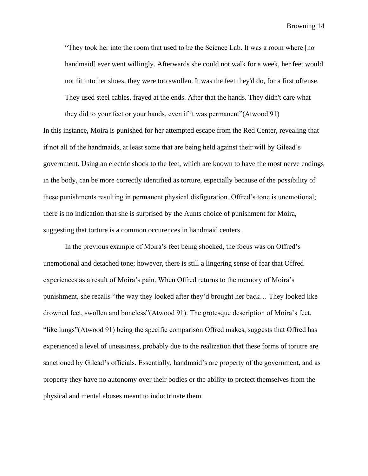"They took her into the room that used to be the Science Lab. It was a room where [no handmaid] ever went willingly. Afterwards she could not walk for a week, her feet would not fit into her shoes, they were too swollen. It was the feet they'd do, for a first offense. They used steel cables, frayed at the ends. After that the hands. They didn't care what

they did to your feet or your hands, even if it was permanent"(Atwood 91) In this instance, Moira is punished for her attempted escape from the Red Center, revealing that if not all of the handmaids, at least some that are being held against their will by Gilead's government. Using an electric shock to the feet, which are known to have the most nerve endings in the body, can be more correctly identified as torture, especially because of the possibility of these punishments resulting in permanent physical disfiguration. Offred's tone is unemotional; there is no indication that she is surprised by the Aunts choice of punishment for Moira, suggesting that torture is a common occurences in handmaid centers.

In the previous example of Moira's feet being shocked, the focus was on Offred's unemotional and detached tone; however, there is still a lingering sense of fear that Offred experiences as a result of Moira's pain. When Offred returns to the memory of Moira's punishment, she recalls "the way they looked after they'd brought her back… They looked like drowned feet, swollen and boneless"(Atwood 91). The grotesque description of Moira's feet, "like lungs"(Atwood 91) being the specific comparison Offred makes, suggests that Offred has experienced a level of uneasiness, probably due to the realization that these forms of torutre are sanctioned by Gilead's officials. Essentially, handmaid's are property of the government, and as property they have no autonomy over their bodies or the ability to protect themselves from the physical and mental abuses meant to indoctrinate them.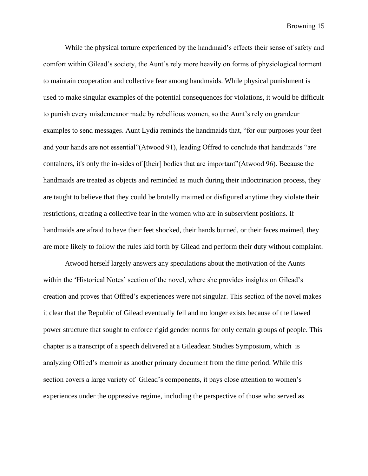While the physical torture experienced by the handmaid's effects their sense of safety and comfort within Gilead's society, the Aunt's rely more heavily on forms of physiological torment to maintain cooperation and collective fear among handmaids. While physical punishment is used to make singular examples of the potential consequences for violations, it would be difficult to punish every misdemeanor made by rebellious women, so the Aunt's rely on grandeur examples to send messages. Aunt Lydia reminds the handmaids that, "for our purposes your feet and your hands are not essential"(Atwood 91), leading Offred to conclude that handmaids "are containers, it's only the in-sides of [their] bodies that are important"(Atwood 96). Because the handmaids are treated as objects and reminded as much during their indoctrination process, they are taught to believe that they could be brutally maimed or disfigured anytime they violate their restrictions, creating a collective fear in the women who are in subservient positions. If handmaids are afraid to have their feet shocked, their hands burned, or their faces maimed, they are more likely to follow the rules laid forth by Gilead and perform their duty without complaint.

Atwood herself largely answers any speculations about the motivation of the Aunts within the 'Historical Notes' section of the novel, where she provides insights on Gilead's creation and proves that Offred's experiences were not singular. This section of the novel makes it clear that the Republic of Gilead eventually fell and no longer exists because of the flawed power structure that sought to enforce rigid gender norms for only certain groups of people. This chapter is a transcript of a speech delivered at a Gileadean Studies Symposium, which is analyzing Offred's memoir as another primary document from the time period. While this section covers a large variety of Gilead's components, it pays close attention to women's experiences under the oppressive regime, including the perspective of those who served as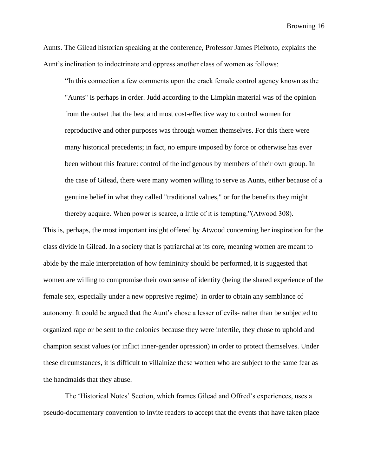Aunts. The Gilead historian speaking at the conference, Professor James Pieixoto, explains the Aunt's inclination to indoctrinate and oppress another class of women as follows:

"In this connection a few comments upon the crack female control agency known as the "Aunts" is perhaps in order. Judd according to the Limpkin material was of the opinion from the outset that the best and most cost-effective way to control women for reproductive and other purposes was through women themselves. For this there were many historical precedents; in fact, no empire imposed by force or otherwise has ever been without this feature: control of the indigenous by members of their own group. In the case of Gilead, there were many women willing to serve as Aunts, either because of a genuine belief in what they called "traditional values," or for the benefits they might thereby acquire. When power is scarce, a little of it is tempting."(Atwood 308).

This is, perhaps, the most important insight offered by Atwood concerning her inspiration for the class divide in Gilead. In a society that is patriarchal at its core, meaning women are meant to abide by the male interpretation of how femininity should be performed, it is suggested that women are willing to compromise their own sense of identity (being the shared experience of the female sex, especially under a new oppresive regime) in order to obtain any semblance of autonomy. It could be argued that the Aunt's chose a lesser of evils- rather than be subjected to organized rape or be sent to the colonies because they were infertile, they chose to uphold and champion sexist values (or inflict inner-gender opression) in order to protect themselves. Under these circumstances, it is difficult to villainize these women who are subject to the same fear as the handmaids that they abuse.

The 'Historical Notes' Section, which frames Gilead and Offred's experiences, uses a pseudo-documentary convention to invite readers to accept that the events that have taken place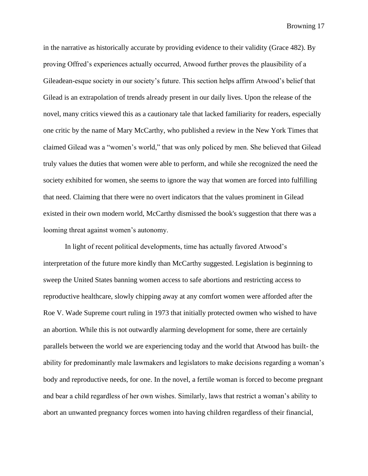in the narrative as historically accurate by providing evidence to their validity (Grace 482). By proving Offred's experiences actually occurred, Atwood further proves the plausibility of a Gileadean-esque society in our society's future. This section helps affirm Atwood's belief that Gilead is an extrapolation of trends already present in our daily lives. Upon the release of the novel, many critics viewed this as a cautionary tale that lacked familiarity for readers, especially one critic by the name of Mary McCarthy, who published a review in the New York Times that claimed Gilead was a "women's world," that was only policed by men. She believed that Gilead truly values the duties that women were able to perform, and while she recognized the need the society exhibited for women, she seems to ignore the way that women are forced into fulfilling that need. Claiming that there were no overt indicators that the values prominent in Gilead existed in their own modern world, McCarthy dismissed the book's suggestion that there was a looming threat against women's autonomy.

In light of recent political developments, time has actually favored Atwood's interpretation of the future more kindly than McCarthy suggested. Legislation is beginning to sweep the United States banning women access to safe abortions and restricting access to reproductive healthcare, slowly chipping away at any comfort women were afforded after the Roe V. Wade Supreme court ruling in 1973 that initially protected owmen who wished to have an abortion. While this is not outwardly alarming development for some, there are certainly parallels between the world we are experiencing today and the world that Atwood has built- the ability for predominantly male lawmakers and legislators to make decisions regarding a woman's body and reproductive needs, for one. In the novel, a fertile woman is forced to become pregnant and bear a child regardless of her own wishes. Similarly, laws that restrict a woman's ability to abort an unwanted pregnancy forces women into having children regardless of their financial,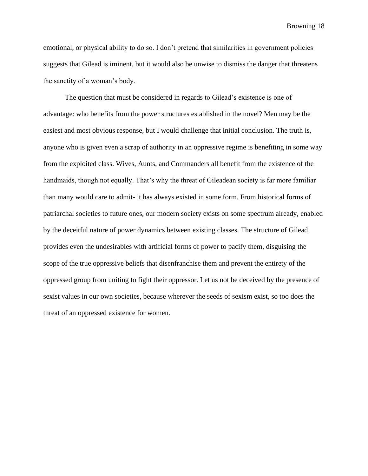emotional, or physical ability to do so. I don't pretend that similarities in government policies suggests that Gilead is iminent, but it would also be unwise to dismiss the danger that threatens the sanctity of a woman's body.

The question that must be considered in regards to Gilead's existence is one of advantage: who benefits from the power structures established in the novel? Men may be the easiest and most obvious response, but I would challenge that initial conclusion. The truth is, anyone who is given even a scrap of authority in an oppressive regime is benefiting in some way from the exploited class. Wives, Aunts, and Commanders all benefit from the existence of the handmaids, though not equally. That's why the threat of Gileadean society is far more familiar than many would care to admit- it has always existed in some form. From historical forms of patriarchal societies to future ones, our modern society exists on some spectrum already, enabled by the deceitful nature of power dynamics between existing classes. The structure of Gilead provides even the undesirables with artificial forms of power to pacify them, disguising the scope of the true oppressive beliefs that disenfranchise them and prevent the entirety of the oppressed group from uniting to fight their oppressor. Let us not be deceived by the presence of sexist values in our own societies, because wherever the seeds of sexism exist, so too does the threat of an oppressed existence for women.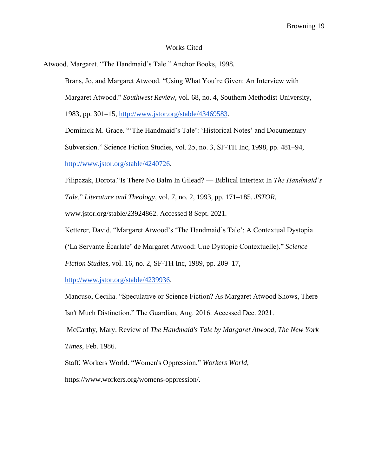## Works Cited

Atwood, Margaret. "The Handmaid's Tale." Anchor Books, 1998.

Brans, Jo, and Margaret Atwood. "Using What You're Given: An Interview with Margaret Atwood." *Southwest Review*, vol. 68, no. 4, Southern Methodist University, 1983, pp. 301–15, [http://www.jstor.org/stable/43469583.](http://www.jstor.org/stable/43469583)

Dominick M. Grace. "'The Handmaid's Tale': 'Historical Notes' and Documentary Subversion." Science Fiction Studies, vol. 25, no. 3, SF-TH Inc, 1998, pp. 481–94, [http://www.jstor.org/stable/4240726.](http://www.jstor.org/stable/4240726)

Filipczak, Dorota."Is There No Balm In Gilead? — Biblical Intertext In *The Handmaid's Tale*." *Literature and Theology*, vol. 7, no. 2, 1993, pp. 171–185. *JSTOR*, www.jstor.org/stable/23924862. Accessed 8 Sept. 2021.

Ketterer, David. "Margaret Atwood's 'The Handmaid's Tale': A Contextual Dystopia

('La Servante Écarlate' de Margaret Atwood: Une Dystopie Contextuelle)." *Science* 

*Fiction Studies*, vol. 16, no. 2, SF-TH Inc, 1989, pp. 209–17,

[http://www.jstor.org/stable/4239936.](http://www.jstor.org/stable/4239936)

Mancuso, Cecilia. "Speculative or Science Fiction? As Margaret Atwood Shows, There Isn't Much Distinction." The Guardian, Aug. 2016. Accessed Dec. 2021.

McCarthy, Mary. Review of *The Handmaid's Tale by Margaret Atwood, The New York Times*, Feb. 1986.

Staff, Workers World. "Women's Oppression." *Workers World*,

https://www.workers.org/womens-oppression/.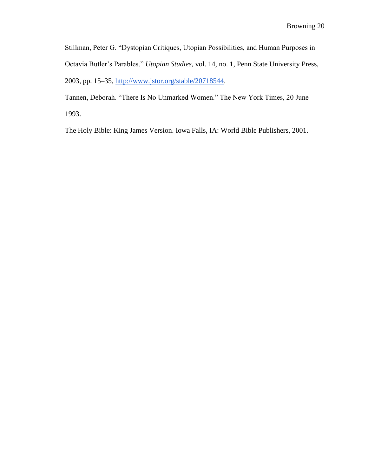Stillman, Peter G. "Dystopian Critiques, Utopian Possibilities, and Human Purposes in Octavia Butler's Parables." *Utopian Studies*, vol. 14, no. 1, Penn State University Press, 2003, pp. 15–35, [http://www.jstor.org/stable/20718544.](http://www.jstor.org/stable/20718544)

Tannen, Deborah. "There Is No Unmarked Women." The New York Times, 20 June 1993.

The Holy Bible: King James Version. Iowa Falls, IA: World Bible Publishers, 2001.